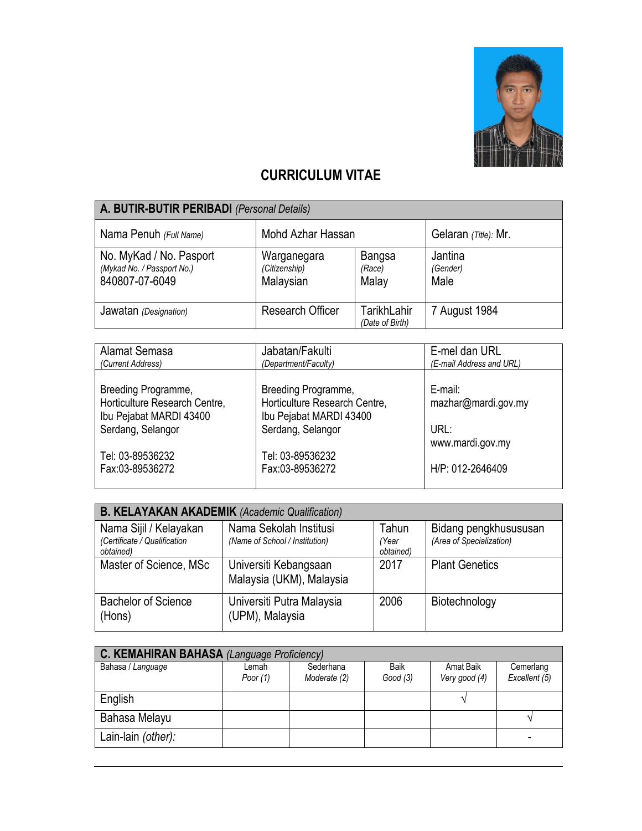

## **CURRICULUM VITAE**

| A. BUTIR-BUTIR PERIBADI (Personal Details)                              |                                           |                                  |                             |  |  |
|-------------------------------------------------------------------------|-------------------------------------------|----------------------------------|-----------------------------|--|--|
| Nama Penuh (Full Name)                                                  | Mohd Azhar Hassan                         |                                  | Gelaran (Title): Mr.        |  |  |
| No. MyKad / No. Pasport<br>(Mykad No. / Passport No.)<br>840807-07-6049 | Warganegara<br>(Citizenship)<br>Malaysian | <b>Bangsa</b><br>(Race)<br>Malay | Jantina<br>(Gender)<br>Male |  |  |
| Jawatan (Designation)                                                   | <b>Research Officer</b>                   | TarikhLahir<br>(Date of Birth)   | 7 August 1984               |  |  |

| Alamat Semasa                 | Jabatan/Fakulti               | E-mel dan URL            |
|-------------------------------|-------------------------------|--------------------------|
| (Current Address)             | (Department/Faculty)          | (E-mail Address and URL) |
|                               |                               |                          |
| Breeding Programme,           | Breeding Programme,           | E-mail:                  |
| Horticulture Research Centre, | Horticulture Research Centre, | mazhar@mardi.gov.my      |
| Ibu Pejabat MARDI 43400       | Ibu Pejabat MARDI 43400       |                          |
|                               |                               |                          |
| Serdang, Selangor             | Serdang, Selangor             | URL:                     |
|                               |                               | www.mardi.gov.my         |
| Tel: 03-89536232              | Tel: 03-89536232              |                          |
| Fax:03-89536272               | Fax:03-89536272               | H/P: 012-2646409         |
|                               |                               |                          |
|                               |                               |                          |

| <b>B. KELAYAKAN AKADEMIK (Academic Qualification)</b>               |                                                          |                             |                                                   |  |  |  |
|---------------------------------------------------------------------|----------------------------------------------------------|-----------------------------|---------------------------------------------------|--|--|--|
| Nama Sijil / Kelayakan<br>(Certificate / Qualification<br>obtained) | Nama Sekolah Institusi<br>(Name of School / Institution) | Tahun<br>(Year<br>obtained) | Bidang pengkhusususan<br>(Area of Specialization) |  |  |  |
| Master of Science, MSc                                              | Universiti Kebangsaan<br>Malaysia (UKM), Malaysia        | 2017                        | <b>Plant Genetics</b>                             |  |  |  |
| <b>Bachelor of Science</b><br>(Hons)                                | Universiti Putra Malaysia<br>(UPM), Malaysia             | 2006                        | Biotechnology                                     |  |  |  |

| C. KEMAHIRAN BAHASA (Language Proficiency) |                     |                           |                 |                            |                            |  |
|--------------------------------------------|---------------------|---------------------------|-----------------|----------------------------|----------------------------|--|
| Bahasa / Language                          | Lemah<br>Poor $(1)$ | Sederhana<br>Moderate (2) | Baik<br>Good(3) | Amat Baik<br>Very good (4) | Cemerlang<br>Excellent (5) |  |
| English                                    |                     |                           |                 |                            |                            |  |
| Bahasa Melayu                              |                     |                           |                 |                            |                            |  |
| Lain-lain (other):                         |                     |                           |                 |                            |                            |  |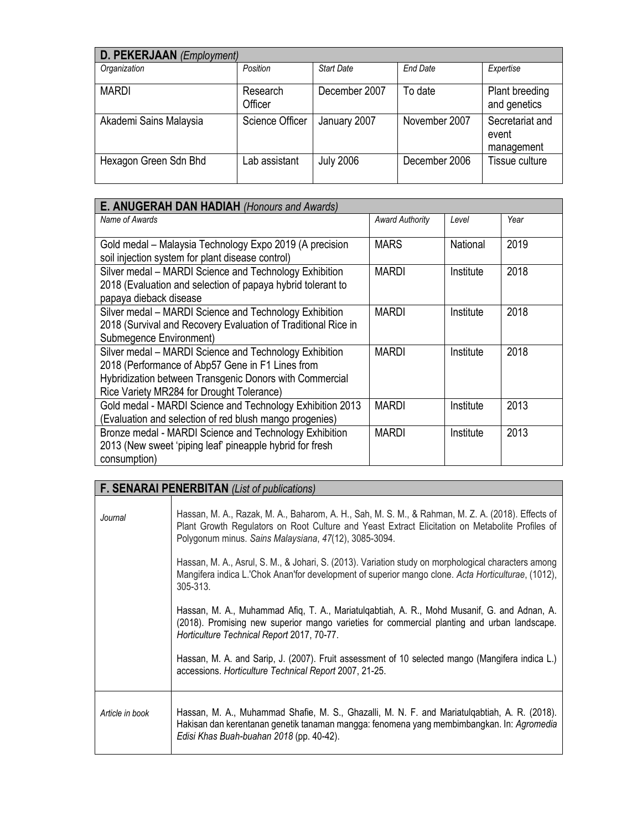| D. PEKERJAAN (Employment) |                        |                   |                 |                                        |  |  |
|---------------------------|------------------------|-------------------|-----------------|----------------------------------------|--|--|
| Organization              | Position               | <b>Start Date</b> | <b>End Date</b> | Expertise                              |  |  |
| <b>MARDI</b>              | Research<br>Officer    | December 2007     | To date         | Plant breeding<br>and genetics         |  |  |
| Akademi Sains Malaysia    | <b>Science Officer</b> | January 2007      | November 2007   | Secretariat and<br>event<br>management |  |  |
| Hexagon Green Sdn Bhd     | ab assistant           | <b>July 2006</b>  | December 2006   | Tissue culture                         |  |  |

| <b>E. ANUGERAH DAN HADIAH (Honours and Awards)</b>                                                                                                                                                                 |                        |           |      |  |
|--------------------------------------------------------------------------------------------------------------------------------------------------------------------------------------------------------------------|------------------------|-----------|------|--|
| Name of Awards                                                                                                                                                                                                     | <b>Award Authority</b> | I evel    | Year |  |
| Gold medal – Malaysia Technology Expo 2019 (A precision<br>soil injection system for plant disease control)                                                                                                        | <b>MARS</b>            | National  | 2019 |  |
| Silver medal - MARDI Science and Technology Exhibition<br>2018 (Evaluation and selection of papaya hybrid tolerant to<br>papaya dieback disease                                                                    | <b>MARDI</b>           | Institute | 2018 |  |
| Silver medal - MARDI Science and Technology Exhibition<br>2018 (Survival and Recovery Evaluation of Traditional Rice in<br>Submegence Environment)                                                                 | MARDI                  | Institute | 2018 |  |
| Silver medal - MARDI Science and Technology Exhibition<br>2018 (Performance of Abp57 Gene in F1 Lines from<br>Hybridization between Transgenic Donors with Commercial<br>Rice Variety MR284 for Drought Tolerance) | <b>MARDI</b>           | Institute | 2018 |  |
| Gold medal - MARDI Science and Technology Exhibition 2013<br>(Evaluation and selection of red blush mango progenies)                                                                                               | <b>MARDI</b>           | Institute | 2013 |  |
| Bronze medal - MARDI Science and Technology Exhibition<br>2013 (New sweet 'piping leaf' pineapple hybrid for fresh<br>consumption)                                                                                 | <b>MARDI</b>           | Institute | 2013 |  |

## **F. SENARAI PENERBITAN** *(List of publications)*

| Journal         | Hassan, M. A., Razak, M. A., Baharom, A. H., Sah, M. S. M., & Rahman, M. Z. A. (2018). Effects of<br>Plant Growth Regulators on Root Culture and Yeast Extract Elicitation on Metabolite Profiles of<br>Polygonum minus. Sains Malaysiana, 47(12), 3085-3094. |
|-----------------|---------------------------------------------------------------------------------------------------------------------------------------------------------------------------------------------------------------------------------------------------------------|
|                 | Hassan, M. A., Asrul, S. M., & Johari, S. (2013). Variation study on morphological characters among<br>Mangifera indica L.'Chok Anan'for development of superior mango clone. Acta Horticulturae, (1012),<br>305-313.                                         |
|                 | Hassan, M. A., Muhammad Afiq, T. A., Mariatulgabtiah, A. R., Mohd Musanif, G. and Adnan, A.<br>(2018). Promising new superior mango varieties for commercial planting and urban landscape.<br>Horticulture Technical Report 2017, 70-77.                      |
|                 | Hassan, M. A. and Sarip, J. (2007). Fruit assessment of 10 selected mango (Mangifera indica L.)<br>accessions. Horticulture Technical Report 2007, 21-25.                                                                                                     |
| Article in book | Hassan, M. A., Muhammad Shafie, M. S., Ghazalli, M. N. F. and Mariatulqabtiah, A. R. (2018).<br>Hakisan dan kerentanan genetik tanaman mangga: fenomena yang membimbangkan. In: Agromedia<br>Edisi Khas Buah-buahan 2018 (pp. 40-42).                         |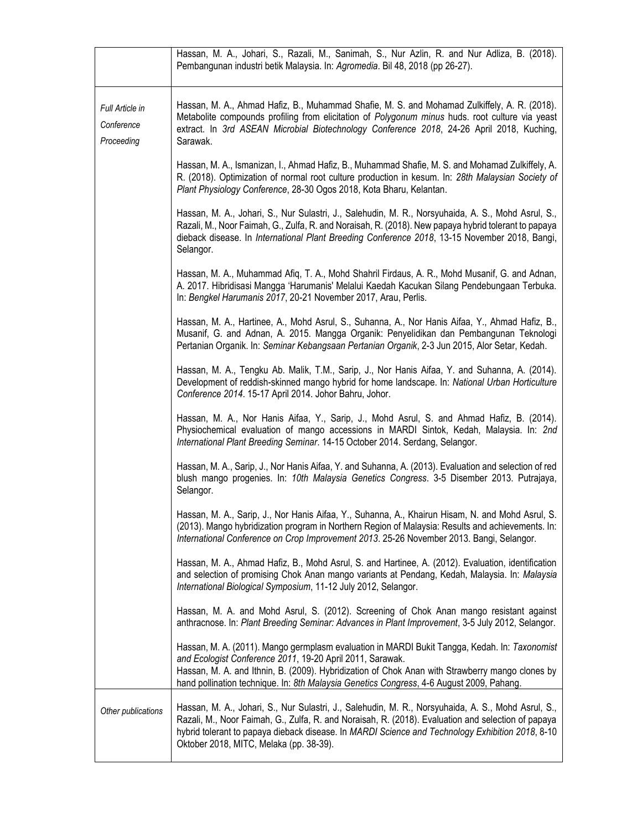|                                             | Hassan, M. A., Johari, S., Razali, M., Sanimah, S., Nur Azlin, R. and Nur Adliza, B. (2018).<br>Pembangunan industri betik Malaysia. In: Agromedia. Bil 48, 2018 (pp 26-27).                                                                                                                                                                              |
|---------------------------------------------|-----------------------------------------------------------------------------------------------------------------------------------------------------------------------------------------------------------------------------------------------------------------------------------------------------------------------------------------------------------|
| Full Article in<br>Conference<br>Proceeding | Hassan, M. A., Ahmad Hafiz, B., Muhammad Shafie, M. S. and Mohamad Zulkiffely, A. R. (2018).<br>Metabolite compounds profiling from elicitation of Polygonum minus huds. root culture via yeast<br>extract. In 3rd ASEAN Microbial Biotechnology Conference 2018, 24-26 April 2018, Kuching,<br>Sarawak.                                                  |
|                                             | Hassan, M. A., Ismanizan, I., Ahmad Hafiz, B., Muhammad Shafie, M. S. and Mohamad Zulkiffely, A.<br>R. (2018). Optimization of normal root culture production in kesum. In: 28th Malaysian Society of<br>Plant Physiology Conference, 28-30 Ogos 2018, Kota Bharu, Kelantan.                                                                              |
|                                             | Hassan, M. A., Johari, S., Nur Sulastri, J., Salehudin, M. R., Norsyuhaida, A. S., Mohd Asrul, S.,<br>Razali, M., Noor Faimah, G., Zulfa, R. and Noraisah, R. (2018). New papaya hybrid tolerant to papaya<br>dieback disease. In International Plant Breeding Conference 2018, 13-15 November 2018, Bangi,<br>Selangor.                                  |
|                                             | Hassan, M. A., Muhammad Afiq, T. A., Mohd Shahril Firdaus, A. R., Mohd Musanif, G. and Adnan,<br>A. 2017. Hibridisasi Mangga 'Harumanis' Melalui Kaedah Kacukan Silang Pendebungaan Terbuka.<br>In: Bengkel Harumanis 2017, 20-21 November 2017, Arau, Perlis.                                                                                            |
|                                             | Hassan, M. A., Hartinee, A., Mohd Asrul, S., Suhanna, A., Nor Hanis Aifaa, Y., Ahmad Hafiz, B.,<br>Musanif, G. and Adnan, A. 2015. Mangga Organik: Penyelidikan dan Pembangunan Teknologi<br>Pertanian Organik. In: Seminar Kebangsaan Pertanian Organik, 2-3 Jun 2015, Alor Setar, Kedah.                                                                |
|                                             | Hassan, M. A., Tengku Ab. Malik, T.M., Sarip, J., Nor Hanis Aifaa, Y. and Suhanna, A. (2014).<br>Development of reddish-skinned mango hybrid for home landscape. In: National Urban Horticulture<br>Conference 2014. 15-17 April 2014. Johor Bahru, Johor.                                                                                                |
|                                             | Hassan, M. A., Nor Hanis Aifaa, Y., Sarip, J., Mohd Asrul, S. and Ahmad Hafiz, B. (2014).<br>Physiochemical evaluation of mango accessions in MARDI Sintok, Kedah, Malaysia. In: 2nd<br>International Plant Breeding Seminar. 14-15 October 2014. Serdang, Selangor.                                                                                      |
|                                             | Hassan, M. A., Sarip, J., Nor Hanis Aifaa, Y. and Suhanna, A. (2013). Evaluation and selection of red<br>blush mango progenies. In: 10th Malaysia Genetics Congress. 3-5 Disember 2013. Putrajaya,<br>Selangor.                                                                                                                                           |
|                                             | Hassan, M. A., Sarip, J., Nor Hanis Aifaa, Y., Suhanna, A., Khairun Hisam, N. and Mohd Asrul, S.<br>(2013). Mango hybridization program in Northern Region of Malaysia: Results and achievements. In:<br>International Conference on Crop Improvement 2013. 25-26 November 2013. Bangi, Selangor.                                                         |
|                                             | Hassan, M. A., Ahmad Hafiz, B., Mohd Asrul, S. and Hartinee, A. (2012). Evaluation, identification<br>and selection of promising Chok Anan mango variants at Pendang, Kedah, Malaysia. In: Malaysia<br>International Biological Symposium, 11-12 July 2012, Selangor.                                                                                     |
|                                             | Hassan, M. A. and Mohd Asrul, S. (2012). Screening of Chok Anan mango resistant against<br>anthracnose. In: Plant Breeding Seminar: Advances in Plant Improvement, 3-5 July 2012, Selangor.                                                                                                                                                               |
|                                             | Hassan, M. A. (2011). Mango germplasm evaluation in MARDI Bukit Tangga, Kedah. In: Taxonomist<br>and Ecologist Conference 2011, 19-20 April 2011, Sarawak.<br>Hassan, M. A. and Ithnin, B. (2009). Hybridization of Chok Anan with Strawberry mango clones by<br>hand pollination technique. In: 8th Malaysia Genetics Congress, 4-6 August 2009, Pahang. |
| Other publications                          | Hassan, M. A., Johari, S., Nur Sulastri, J., Salehudin, M. R., Norsyuhaida, A. S., Mohd Asrul, S.,<br>Razali, M., Noor Faimah, G., Zulfa, R. and Noraisah, R. (2018). Evaluation and selection of papaya<br>hybrid tolerant to papaya dieback disease. In MARDI Science and Technology Exhibition 2018, 8-10<br>Oktober 2018, MITC, Melaka (pp. 38-39).   |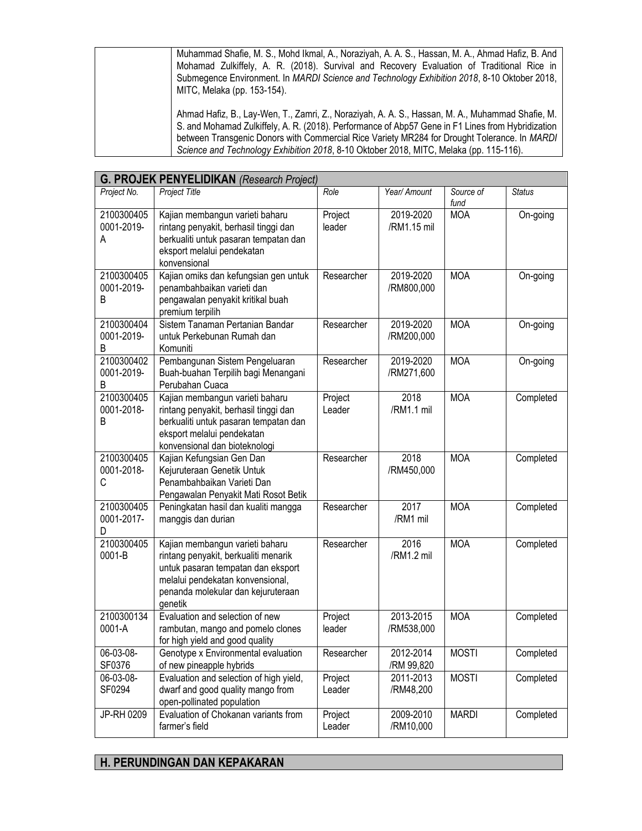Muhammad Shafie, M. S., Mohd Ikmal, A., Noraziyah, A. A. S., Hassan, M. A., Ahmad Hafiz, B. And Mohamad Zulkiffely, A. R. (2018). Survival and Recovery Evaluation of Traditional Rice in Submegence Environment. In *MARDI Science and Technology Exhibition 2018*, 8-10 Oktober 2018, MITC, Melaka (pp. 153-154).

Ahmad Hafiz, B., Lay-Wen, T., Zamri, Z., Noraziyah, A. A. S., Hassan, M. A., Muhammad Shafie, M. S. and Mohamad Zulkiffely, A. R. (2018). Performance of Abp57 Gene in F1 Lines from Hybridization between Transgenic Donors with Commercial Rice Variety MR284 for Drought Tolerance. In *MARDI Science and Technology Exhibition 2018*, 8-10 Oktober 2018, MITC, Melaka (pp. 115-116).

|                               | <b>G. PROJEK PENYELIDIKAN (Research Project)</b>                                                                                                                                                   |                   |                          |                   |               |
|-------------------------------|----------------------------------------------------------------------------------------------------------------------------------------------------------------------------------------------------|-------------------|--------------------------|-------------------|---------------|
| Project No.                   | Project Title                                                                                                                                                                                      | Role              | Year/ Amount             | Source of<br>fund | <b>Status</b> |
| 2100300405<br>0001-2019-<br>А | Kajian membangun varieti baharu<br>rintang penyakit, berhasil tinggi dan<br>berkualiti untuk pasaran tempatan dan<br>eksport melalui pendekatan<br>konvensional                                    | Project<br>leader | 2019-2020<br>/RM1.15 mil | <b>MOA</b>        | On-going      |
| 2100300405<br>0001-2019-<br>B | Kajian omiks dan kefungsian gen untuk<br>penambahbaikan varieti dan<br>pengawalan penyakit kritikal buah<br>premium terpilih                                                                       | Researcher        | 2019-2020<br>/RM800,000  | <b>MOA</b>        | On-going      |
| 2100300404<br>0001-2019-<br>Β | Sistem Tanaman Pertanian Bandar<br>untuk Perkebunan Rumah dan<br>Komuniti                                                                                                                          | Researcher        | 2019-2020<br>/RM200,000  | <b>MOA</b>        | On-going      |
| 2100300402<br>0001-2019-<br>В | Pembangunan Sistem Pengeluaran<br>Buah-buahan Terpilih bagi Menangani<br>Perubahan Cuaca                                                                                                           | Researcher        | 2019-2020<br>/RM271,600  | <b>MOA</b>        | On-going      |
| 2100300405<br>0001-2018-<br>В | Kajian membangun varieti baharu<br>rintang penyakit, berhasil tinggi dan<br>berkualiti untuk pasaran tempatan dan<br>eksport melalui pendekatan<br>konvensional dan bioteknologi                   | Project<br>Leader | 2018<br>/RM1.1 mil       | <b>MOA</b>        | Completed     |
| 2100300405<br>0001-2018-<br>С | Kajian Kefungsian Gen Dan<br>Kejuruteraan Genetik Untuk<br>Penambahbaikan Varieti Dan<br>Pengawalan Penyakit Mati Rosot Betik                                                                      | Researcher        | 2018<br>/RM450,000       | <b>MOA</b>        | Completed     |
| 2100300405<br>0001-2017-<br>D | Peningkatan hasil dan kualiti mangga<br>manggis dan durian                                                                                                                                         | Researcher        | 2017<br>/RM1 mil         | <b>MOA</b>        | Completed     |
| 2100300405<br>0001-B          | Kajian membangun varieti baharu<br>rintang penyakit, berkualiti menarik<br>untuk pasaran tempatan dan eksport<br>melalui pendekatan konvensional,<br>penanda molekular dan kejuruteraan<br>genetik | Researcher        | 2016<br>/RM1.2 mil       | <b>MOA</b>        | Completed     |
| 2100300134<br>0001-A          | Evaluation and selection of new<br>rambutan, mango and pomelo clones<br>for high yield and good quality                                                                                            | Project<br>leader | 2013-2015<br>/RM538,000  | <b>MOA</b>        | Completed     |
| 06-03-08-<br>SF0376           | Genotype x Environmental evaluation<br>of new pineapple hybrids                                                                                                                                    | Researcher        | 2012-2014<br>/RM 99,820  | <b>MOSTI</b>      | Completed     |
| 06-03-08-<br>SF0294           | Evaluation and selection of high yield,<br>dwarf and good quality mango from<br>open-pollinated population                                                                                         | Project<br>Leader | 2011-2013<br>/RM48,200   | <b>MOSTI</b>      | Completed     |
| JP-RH 0209                    | Evaluation of Chokanan variants from<br>farmer's field                                                                                                                                             | Project<br>Leader | 2009-2010<br>/RM10,000   | <b>MARDI</b>      | Completed     |

## **H. PERUNDINGAN DAN KEPAKARAN**